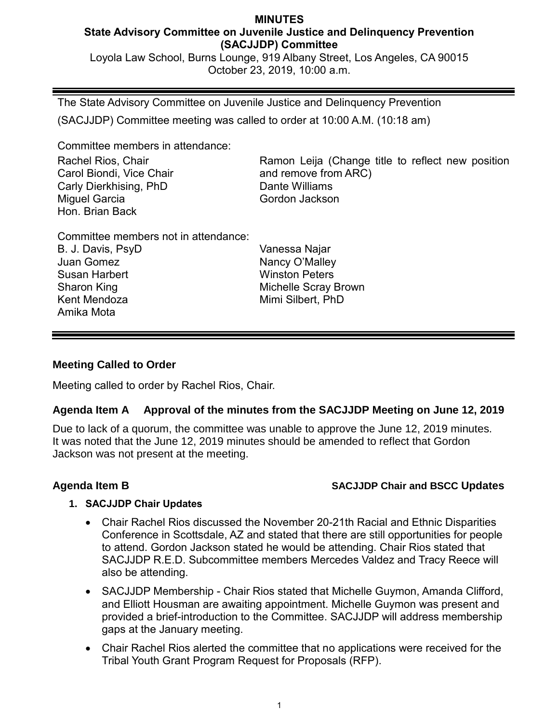#### **MINUTES State Advisory Committee on Juvenile Justice and Delinquency Prevention (SACJJDP) Committee**

Loyola Law School, Burns Lounge, 919 Albany Street, Los Angeles, CA 90015 October 23, 2019, 10:00 a.m.

The State Advisory Committee on Juvenile Justice and Delinquency Prevention (SACJJDP) Committee meeting was called to order at 10:00 A.M. (10:18 am)

Committee members in attendance:

Rachel Rios, Chair Carol Biondi, Vice Chair Carly Dierkhising, PhD Miguel Garcia Hon. Brian Back

Ramon Leija (Change title to reflect new position and remove from ARC) Dante Williams Gordon Jackson

Committee members not in attendance:

B. J. Davis, PsyD Juan Gomez Susan Harbert Sharon King Kent Mendoza Amika Mota

Vanessa Najar Nancy O'Malley Winston Peters Michelle Scray Brown Mimi Silbert, PhD

### **Meeting Called to Order**

Meeting called to order by Rachel Rios, Chair.

## **Agenda Item A Approval of the minutes from the SACJJDP Meeting on June 12, 2019**

Due to lack of a quorum, the committee was unable to approve the June 12, 2019 minutes. It was noted that the June 12, 2019 minutes should be amended to reflect that Gordon Jackson was not present at the meeting.

## **Agenda Item B SACJJDP Chair and BSCC Updates**

### **1. SACJJDP Chair Updates**

- Chair Rachel Rios discussed the November 20-21th Racial and Ethnic Disparities Conference in Scottsdale, AZ and stated that there are still opportunities for people to attend. Gordon Jackson stated he would be attending. Chair Rios stated that SACJJDP R.E.D. Subcommittee members Mercedes Valdez and Tracy Reece will also be attending.
- SACJJDP Membership Chair Rios stated that Michelle Guymon, Amanda Clifford, and Elliott Housman are awaiting appointment. Michelle Guymon was present and provided a brief-introduction to the Committee. SACJJDP will address membership gaps at the January meeting.
- Chair Rachel Rios alerted the committee that no applications were received for the Tribal Youth Grant Program Request for Proposals (RFP).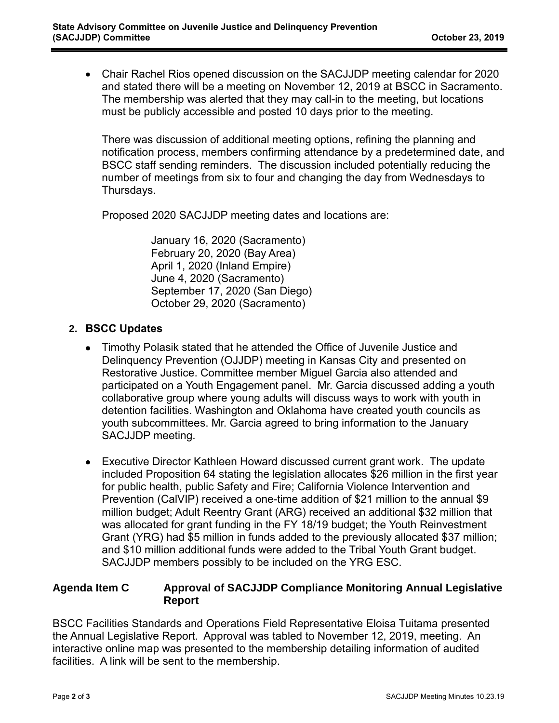• Chair Rachel Rios opened discussion on the SACJJDP meeting calendar for 2020 and stated there will be a meeting on November 12, 2019 at BSCC in Sacramento. The membership was alerted that they may call-in to the meeting, but locations must be publicly accessible and posted 10 days prior to the meeting.

There was discussion of additional meeting options, refining the planning and notification process, members confirming attendance by a predetermined date, and BSCC staff sending reminders. The discussion included potentially reducing the number of meetings from six to four and changing the day from Wednesdays to Thursdays.

Proposed 2020 SACJJDP meeting dates and locations are:

January 16, 2020 (Sacramento) February 20, 2020 (Bay Area) April 1, 2020 (Inland Empire) June 4, 2020 (Sacramento) September 17, 2020 (San Diego) October 29, 2020 (Sacramento)

### **2. BSCC Updates**

- Timothy Polasik stated that he attended the Office of Juvenile Justice and Delinquency Prevention (OJJDP) meeting in Kansas City and presented on Restorative Justice. Committee member Miguel Garcia also attended and participated on a Youth Engagement panel. Mr. Garcia discussed adding a youth collaborative group where young adults will discuss ways to work with youth in detention facilities. Washington and Oklahoma have created youth councils as youth subcommittees. Mr. Garcia agreed to bring information to the January SACJJDP meeting.
- Executive Director Kathleen Howard discussed current grant work. The update included Proposition 64 stating the legislation allocates \$26 million in the first year for public health, public Safety and Fire; California Violence Intervention and Prevention (CalVIP) received a one-time addition of \$21 million to the annual \$9 million budget; Adult Reentry Grant (ARG) received an additional \$32 million that was allocated for grant funding in the FY 18/19 budget; the Youth Reinvestment Grant (YRG) had \$5 million in funds added to the previously allocated \$37 million; and \$10 million additional funds were added to the Tribal Youth Grant budget. SACJJDP members possibly to be included on the YRG ESC.

### **Agenda Item C Approval of SACJJDP Compliance Monitoring Annual Legislative Report**

BSCC Facilities Standards and Operations Field Representative Eloisa Tuitama presented the Annual Legislative Report. Approval was tabled to November 12, 2019, meeting. An interactive online map was presented to the membership detailing information of audited facilities. A link will be sent to the membership.